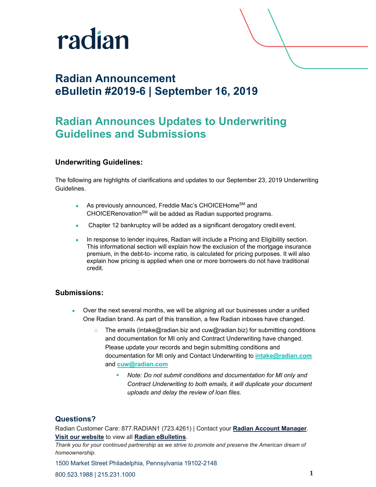

## **Radian Announcement eBulletin #2019-6 | September 16, 2019**

# **Radian Announces Updates to Underwriting Guidelines and Submissions**

## **Underwriting Guidelines:**

The following are highlights of clarifications and updates to our September 23, 2019 Underwriting Guidelines.

- As previously announced, Freddie Mac's CHOICEHome<sup>SM</sup> and CHOICERenovation<sup>SM</sup> will be added as Radian supported programs.
- Chapter 12 bankruptcy will be added as a significant derogatory credit event.
- In response to lender inquires, Radian will include a Pricing and Eligibility section. This informational section will explain how the exclusion of the mortgage insurance premium, in the debt-to- income ratio, is calculated for pricing purposes. It will also explain how pricing is applied when one or more borrowers do not have traditional credit.

### **Submissions:**

- Over the next several months, we will be aligning all our businesses under a unified One Radian brand. As part of this transition, a few Radian inboxes have changed.
	- o The emails (intake@radian.biz and cuw@radian.biz) for submitting conditions and documentation for MI only and Contract Underwriting have changed. Please update your records and begin submitting conditions and documentation for MI only and Contact Underwriting to **[intake@radian.com](mailto:intake@radian.com)** and **[cuw@radian.com](mailto:cuw@radian.com)**
		- *Note: Do not submit conditions and documentation for MI only and Contract Underwriting to both emails, it will duplicate your document uploads and delay the review of loan files.*

#### **Questions?**

Radian Customer Care: 877.RADIAN1 (723.4261) | Contact your **[Radian Account Manager](http://www.radian.biz/page?name=SalesRepFinder)**. **[Visit our website](https://www.radian.biz/page?name=HomePage)** to view all **[Radian eBulletins](http://www.radian.biz/page?name=RadianEbulletins)**.

*Thank you for your continued partnership as we strive to promote and preserve the American dream of homeownership.*

1500 Market Street Philadelphia, Pennsylvania 19102-2148

800.523.1988 | 215.231.1000 **1**